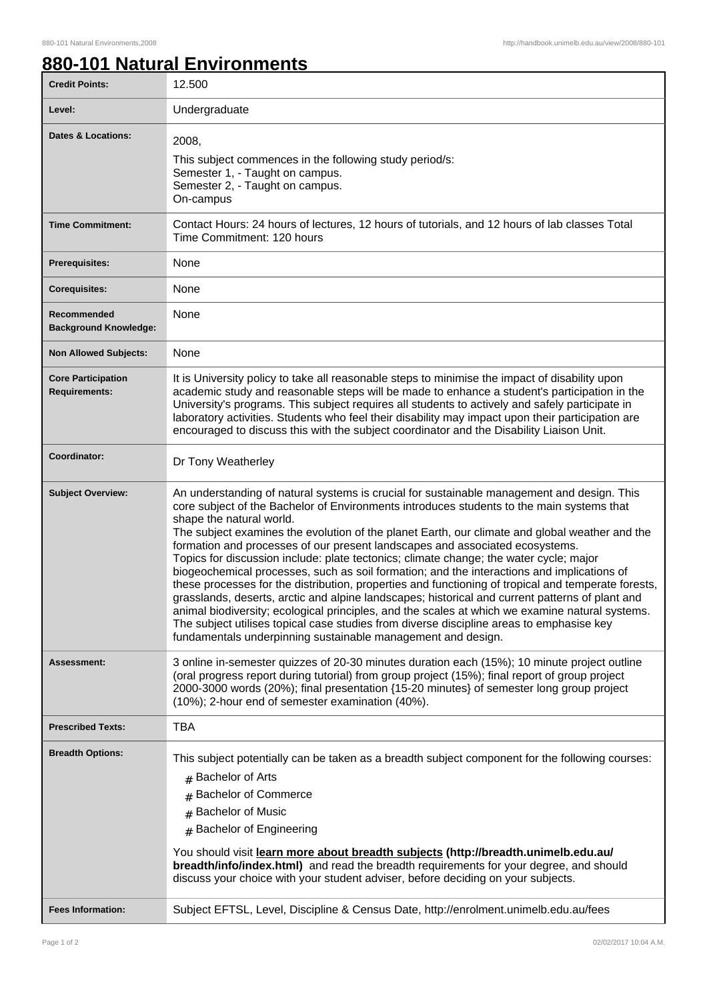## **880-101 Natural Environments**

| <b>Credit Points:</b>                             | 12.500                                                                                                                                                                                                                                                                                                                                                                                                                                                                                                                                                                                                                                                                                                                                                                                                                                                                                                                                                                                                                                                                 |
|---------------------------------------------------|------------------------------------------------------------------------------------------------------------------------------------------------------------------------------------------------------------------------------------------------------------------------------------------------------------------------------------------------------------------------------------------------------------------------------------------------------------------------------------------------------------------------------------------------------------------------------------------------------------------------------------------------------------------------------------------------------------------------------------------------------------------------------------------------------------------------------------------------------------------------------------------------------------------------------------------------------------------------------------------------------------------------------------------------------------------------|
| Level:                                            | Undergraduate                                                                                                                                                                                                                                                                                                                                                                                                                                                                                                                                                                                                                                                                                                                                                                                                                                                                                                                                                                                                                                                          |
| <b>Dates &amp; Locations:</b>                     | 2008,<br>This subject commences in the following study period/s:<br>Semester 1, - Taught on campus.<br>Semester 2, - Taught on campus.<br>On-campus                                                                                                                                                                                                                                                                                                                                                                                                                                                                                                                                                                                                                                                                                                                                                                                                                                                                                                                    |
| <b>Time Commitment:</b>                           | Contact Hours: 24 hours of lectures, 12 hours of tutorials, and 12 hours of lab classes Total<br>Time Commitment: 120 hours                                                                                                                                                                                                                                                                                                                                                                                                                                                                                                                                                                                                                                                                                                                                                                                                                                                                                                                                            |
| <b>Prerequisites:</b>                             | None                                                                                                                                                                                                                                                                                                                                                                                                                                                                                                                                                                                                                                                                                                                                                                                                                                                                                                                                                                                                                                                                   |
| <b>Corequisites:</b>                              | None                                                                                                                                                                                                                                                                                                                                                                                                                                                                                                                                                                                                                                                                                                                                                                                                                                                                                                                                                                                                                                                                   |
| Recommended<br><b>Background Knowledge:</b>       | None                                                                                                                                                                                                                                                                                                                                                                                                                                                                                                                                                                                                                                                                                                                                                                                                                                                                                                                                                                                                                                                                   |
| <b>Non Allowed Subjects:</b>                      | None                                                                                                                                                                                                                                                                                                                                                                                                                                                                                                                                                                                                                                                                                                                                                                                                                                                                                                                                                                                                                                                                   |
| <b>Core Participation</b><br><b>Requirements:</b> | It is University policy to take all reasonable steps to minimise the impact of disability upon<br>academic study and reasonable steps will be made to enhance a student's participation in the<br>University's programs. This subject requires all students to actively and safely participate in<br>laboratory activities. Students who feel their disability may impact upon their participation are<br>encouraged to discuss this with the subject coordinator and the Disability Liaison Unit.                                                                                                                                                                                                                                                                                                                                                                                                                                                                                                                                                                     |
| Coordinator:                                      | Dr Tony Weatherley                                                                                                                                                                                                                                                                                                                                                                                                                                                                                                                                                                                                                                                                                                                                                                                                                                                                                                                                                                                                                                                     |
| <b>Subject Overview:</b>                          | An understanding of natural systems is crucial for sustainable management and design. This<br>core subject of the Bachelor of Environments introduces students to the main systems that<br>shape the natural world.<br>The subject examines the evolution of the planet Earth, our climate and global weather and the<br>formation and processes of our present landscapes and associated ecosystems.<br>Topics for discussion include: plate tectonics; climate change; the water cycle; major<br>biogeochemical processes, such as soil formation; and the interactions and implications of<br>these processes for the distribution, properties and functioning of tropical and temperate forests,<br>grasslands, deserts, arctic and alpine landscapes; historical and current patterns of plant and<br>animal biodiversity; ecological principles, and the scales at which we examine natural systems.<br>The subject utilises topical case studies from diverse discipline areas to emphasise key<br>fundamentals underpinning sustainable management and design. |
| Assessment:                                       | 3 online in-semester quizzes of 20-30 minutes duration each (15%); 10 minute project outline<br>(oral progress report during tutorial) from group project (15%); final report of group project<br>2000-3000 words (20%); final presentation {15-20 minutes} of semester long group project<br>(10%); 2-hour end of semester examination (40%).                                                                                                                                                                                                                                                                                                                                                                                                                                                                                                                                                                                                                                                                                                                         |
| <b>Prescribed Texts:</b>                          | TBA                                                                                                                                                                                                                                                                                                                                                                                                                                                                                                                                                                                                                                                                                                                                                                                                                                                                                                                                                                                                                                                                    |
| <b>Breadth Options:</b>                           | This subject potentially can be taken as a breadth subject component for the following courses:<br># Bachelor of Arts<br><b>Bachelor of Commerce</b><br>#<br><b>Bachelor of Music</b><br>#<br><b>Bachelor of Engineering</b><br>$\pm$<br>You should visit learn more about breadth subjects (http://breadth.unimelb.edu.au/<br>breadth/info/index.html) and read the breadth requirements for your degree, and should                                                                                                                                                                                                                                                                                                                                                                                                                                                                                                                                                                                                                                                  |
| <b>Fees Information:</b>                          | discuss your choice with your student adviser, before deciding on your subjects.<br>Subject EFTSL, Level, Discipline & Census Date, http://enrolment.unimelb.edu.au/fees                                                                                                                                                                                                                                                                                                                                                                                                                                                                                                                                                                                                                                                                                                                                                                                                                                                                                               |